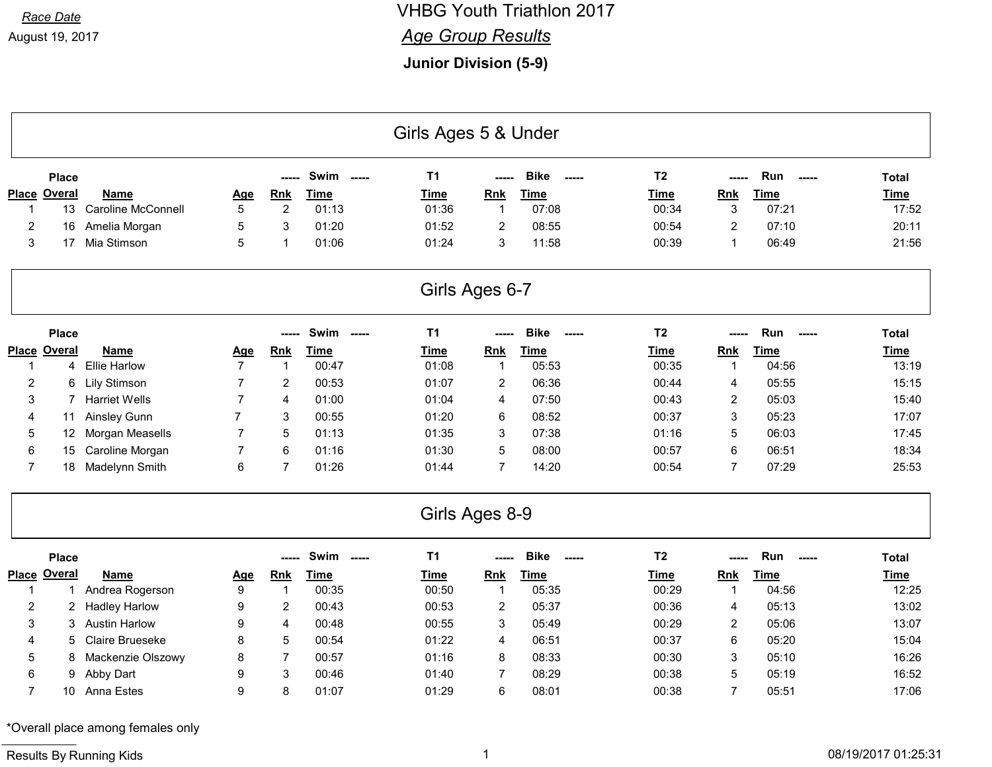### Race Date **Race Date Race Date Race Date Race Date Race Date Race Date Race Date Race Date Race Date Race Date Race Date Race Date Race Date Race Date Race Date Race Date Race Date Race Da**

#### **Age Group Results**

Junior Division (5-9)

|                     | Girls Ages 5 & Under |                           |                |                |             |                |                |                                         |                |                |                       |              |  |
|---------------------|----------------------|---------------------------|----------------|----------------|-------------|----------------|----------------|-----------------------------------------|----------------|----------------|-----------------------|--------------|--|
|                     | <b>Place</b>         |                           |                | -----          | Swim -----  | <b>T1</b>      |                | <b>Bike</b><br>$- - - - -$              | T <sub>2</sub> | ----           | Run<br>$\overline{a}$ | Total        |  |
| <b>Place Overal</b> |                      | <b>Name</b>               | Age            | <b>Rnk</b>     | Time        | <b>Time</b>    | Rnk            | <b>Time</b>                             | <b>Time</b>    | <b>Rnk</b>     | <b>Time</b>           | <b>Time</b>  |  |
| 1                   | 13                   | <b>Caroline McConnell</b> | 5              | $\overline{c}$ | 01:13       | 01:36          | $\mathbf{1}$   | 07:08                                   | 00:34          | 3              | 07:21                 | 17:52        |  |
| 2                   | 16                   | Amelia Morgan             | 5              | 3              | 01:20       | 01:52          | 2              | 08:55                                   | 00:54          | 2              | 07:10                 | 20:11        |  |
| 3                   | 17                   | Mia Stimson               | 5              | $\mathbf{1}$   | 01:06       | 01:24          | 3              | 11:58                                   | 00:39          | $\mathbf{1}$   | 06:49                 | 21:56        |  |
|                     |                      |                           |                |                |             | Girls Ages 6-7 |                |                                         |                |                |                       |              |  |
|                     | <b>Place</b>         |                           |                | ----           | Swim -----  | <b>T1</b>      |                | <b>Bike</b><br>$---$                    | T <sub>2</sub> |                | Run                   | <b>Total</b> |  |
| <b>Place Overal</b> |                      | Name                      | Age            | Rnk            | <b>Time</b> | <b>Time</b>    | Rnk            | <b>Time</b>                             | <b>Time</b>    | <b>Rnk</b>     | <b>Time</b>           | <b>Time</b>  |  |
| 1                   | 4                    | <b>Ellie Harlow</b>       | $\overline{7}$ | $\mathbf{1}$   | 00:47       | 01:08          | $\mathbf{1}$   | 05:53                                   | 00:35          | $\mathbf{1}$   | 04:56                 | 13:19        |  |
| 2                   | 6                    | <b>Lily Stimson</b>       | 7              | $\overline{c}$ | 00:53       | 01:07          | 2              | 06:36                                   | 00:44          | 4              | 05:55                 | 15:15        |  |
| 3                   | 7                    | <b>Harriet Wells</b>      | 7              | 4              | 01:00       | 01:04          | 4              | 07:50                                   | 00:43          | 2              | 05:03                 | 15:40        |  |
| 4                   | 11                   | Ainsley Gunn              | $\overline{7}$ | 3              | 00:55       | 01:20          | 6              | 08:52                                   | 00:37          | 3              | 05:23                 | 17:07        |  |
| 5                   | 12                   | Morgan Measells           | $\overline{7}$ | $\overline{5}$ | 01:13       | 01:35          | 3              | 07:38                                   | 01:16          | 5              | 06:03                 | 17:45        |  |
| 6                   | 15                   | Caroline Morgan           | $\overline{7}$ | $6\phantom{a}$ | 01:16       | 01:30          | 5              | 08:00                                   | 00:57          | 6              | 06:51                 | 18:34        |  |
| $\overline{7}$      | 18                   | Madelynn Smith            | 6              | $\overline{7}$ | 01:26       | 01:44          | $\overline{7}$ | 14:20                                   | 00:54          | $\overline{7}$ | 07:29                 | 25:53        |  |
|                     |                      |                           |                |                |             | Girls Ages 8-9 |                |                                         |                |                |                       |              |  |
|                     | <b>Place</b>         |                           |                | -----          | Swim -----  | <b>T1</b>      |                | <b>Bike</b><br>$\overline{\phantom{a}}$ | T <sub>2</sub> | -----          | Run                   | <b>Total</b> |  |
| <b>Place Overal</b> |                      | <b>Name</b>               | <u>Age</u>     | Rnk            | <b>Time</b> | <b>Time</b>    | <b>Rnk</b>     | <b>Time</b>                             | <b>Time</b>    | Rnk            | <b>Time</b>           | Time         |  |
| $\mathbf 1$         | $\mathbf 1$          | Andrea Rogerson           | 9              | $\mathbf{1}$   | 00:35       | 00:50          | $\mathbf{1}$   | 05:35                                   | 00:29          | $\mathbf{1}$   | 04:56                 | 12:25        |  |
| 2                   | 2                    | <b>Hadley Harlow</b>      | 9              | $\overline{c}$ | 00:43       | 00:53          | $\overline{c}$ | 05:37                                   | 00:36          | 4              | 05:13                 | 13:02        |  |
| 3                   | 3                    | <b>Austin Harlow</b>      | 9              | 4              | 00:48       | 00:55          | 3              | 05:49                                   | 00:29          | $\overline{2}$ | 05:06                 | 13:07        |  |
| 4                   | 5                    | <b>Claire Brueseke</b>    | 8              | $\overline{5}$ | 00:54       | 01:22          | 4              | 06:51                                   | 00:37          | 6              | 05:20                 | 15:04        |  |
| 5                   | 8                    | Mackenzie Olszowy         | 8              | $\overline{7}$ | 00:57       | 01:16          | 8              | 08:33                                   | 00:30          | 3              | 05:10                 | 16:26        |  |
| 6                   | 9                    | Abby Dart                 | 9              | 3              | 00:46       | 01:40          | $\overline{7}$ | 08:29                                   | 00:38          | 5              | 05:19                 | 16:52        |  |
| $\overline{7}$      | 10                   | <b>Anna Estes</b>         | 9              | 8              | 01:07       | 01:29          | 6              | 08:01                                   | 00:38          | $\overline{7}$ | 05:51                 | 17:06        |  |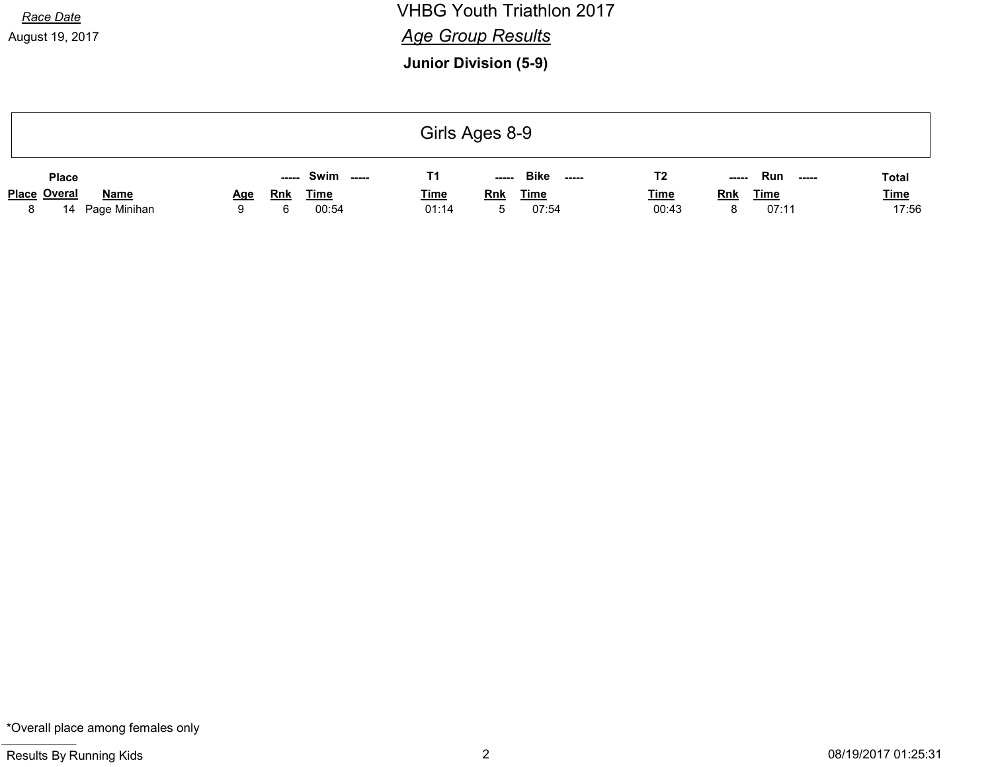August 19, 2017

Race Date **Race Date Race Date Race Date Race Date Race Date Race Date Race Date Race Date Race Date Race Date Race Date Race Date Race Date Race Date Race Date Race Date Race Date Race Da Age Group Results** 

Junior Division (5-9)

|   | Girls Ages 8-9      |              |            |            |                |             |             |                      |             |            |              |              |
|---|---------------------|--------------|------------|------------|----------------|-------------|-------------|----------------------|-------------|------------|--------------|--------------|
|   | <b>Place</b>        |              |            | -----      | Swim<br>------ | Τ1          | $- - - - -$ | <b>Bike</b><br>----- | T2          | -----      | Run<br>----- | <b>Total</b> |
|   | <b>Place Overal</b> | <b>Name</b>  | <u>Age</u> | <b>Rnk</b> | <u>Time</u>    | <b>Time</b> | <b>Rnk</b>  | <b>Time</b>          | <b>Time</b> | <b>Rnk</b> | <u>Time</u>  | <b>Time</b>  |
| 8 | 14                  | Page Minihan | a          | 6          | 00:54          | 01:14       | 'n.         | 07:54                | 00:43       |            | 07:11        | 17:56        |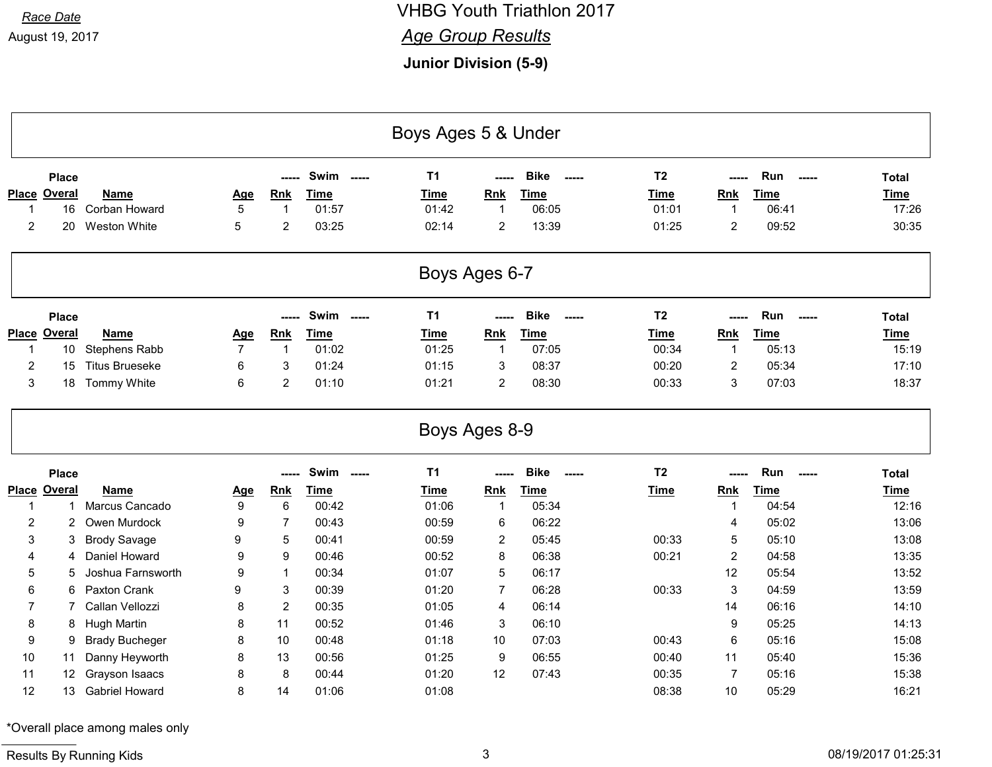### Race Date **Race Date Race Date Race Date Race Date Race Date Race Date Race Date Race Date Race Date Race Date Race Date Race Date Race Date Race Date Race Date Race Date Race Date Race Da Age Group Results**

Junior Division (5-9)

|                | Boys Ages 5 & Under |                       |                |                |                     |               |                |                          |                |                |                    |              |  |
|----------------|---------------------|-----------------------|----------------|----------------|---------------------|---------------|----------------|--------------------------|----------------|----------------|--------------------|--------------|--|
|                | <b>Place</b>        |                       |                | -----          | Swim<br>$- - - - -$ | <b>T1</b>     |                | <b>Bike</b><br>-----     | T <sub>2</sub> |                | Run<br>$-----$     | <b>Total</b> |  |
| <b>Place</b>   | <b>Overal</b>       | <b>Name</b>           | <u>Age</u>     | <b>Rnk</b>     | <b>Time</b>         | Time          | <b>Rnk</b>     | <b>Time</b>              | <b>Time</b>    | <b>Rnk</b>     | <b>Time</b>        | <b>Time</b>  |  |
| -1             | 16                  | Corban Howard         | 5              | $\mathbf{1}$   | 01:57               | 01:42         | $\overline{1}$ | 06:05                    | 01:01          | $\mathbf 1$    | 06:41              | 17:26        |  |
| $\overline{2}$ | 20                  | <b>Weston White</b>   | 5              | $\overline{2}$ | 03:25               | 02:14         | $\overline{c}$ | 13:39                    | 01:25          | $\overline{2}$ | 09:52              | 30:35        |  |
|                |                     |                       |                |                |                     | Boys Ages 6-7 |                |                          |                |                |                    |              |  |
|                | <b>Place</b>        |                       |                | -----          | Swim<br>------      | <b>T1</b>     | -----          | <b>Bike</b><br>$- - - -$ | T <sub>2</sub> | -----          | Run<br>$- - - - -$ | <b>Total</b> |  |
|                | Place Overal        | Name                  | <u>Age</u>     | <b>Rnk</b>     | <b>Time</b>         | Time          | Rnk            | <b>Time</b>              | <b>Time</b>    | Rnk            | <b>Time</b>        | <b>Time</b>  |  |
| -1             | 10 <sup>°</sup>     | <b>Stephens Rabb</b>  | $\overline{7}$ | $\mathbf{1}$   | 01:02               | 01:25         | $\mathbf{1}$   | 07:05                    | 00:34          | $\mathbf{1}$   | 05:13              | 15:19        |  |
| $\overline{2}$ | 15                  | <b>Titus Brueseke</b> | 6              | 3              | 01:24               | 01:15         | 3              | 08:37                    | 00:20          | $\overline{2}$ | 05:34              | 17:10        |  |
|                |                     |                       | 6              | $\overline{2}$ | 01:10               | 01:21         | $\overline{2}$ | 08:30                    | 00:33          | $\sqrt{3}$     | 07:03              | 18:37        |  |
| $\mathsf 3$    | 18                  | Tommy White           |                |                |                     |               |                |                          |                |                |                    |              |  |
|                |                     |                       |                |                |                     | Boys Ages 8-9 |                |                          |                |                |                    |              |  |
|                | <b>Place</b>        |                       |                | -----          | Swim -----          | <b>T1</b>     | -----          | <b>Bike</b><br>-----     | T <sub>2</sub> | -----          | Run<br>$-----$     | <b>Total</b> |  |
|                | <b>Place Overal</b> | <b>Name</b>           | <u>Age</u>     | <b>Rnk</b>     | <b>Time</b>         | <b>Time</b>   | <b>Rnk</b>     | <b>Time</b>              | <b>Time</b>    | <b>Rnk</b>     | <b>Time</b>        | <b>Time</b>  |  |
| $\mathbf{1}$   | -1                  | Marcus Cancado        | 9              | $6\phantom{1}$ | 00:42               | 01:06         | $\mathbf{1}$   | 05:34                    |                | $\mathbf{1}$   | 04:54              | 12:16        |  |
| $\overline{2}$ | $\overline{2}$      | Owen Murdock          | 9              | $\overline{7}$ | 00:43               | 00:59         | 6              | 06:22                    |                | $\overline{4}$ | 05:02              | 13:06        |  |
| 3              | 3                   | <b>Brody Savage</b>   | 9              | 5              | 00:41               | 00:59         | $\overline{2}$ | 05:45                    | 00:33          | $\overline{5}$ | 05:10              | 13:08        |  |
| 4              | 4                   | Daniel Howard         | 9              | 9              | 00:46               | 00:52         | 8              | 06:38                    | 00:21          | $\overline{2}$ | 04:58              | 13:35        |  |
| 5              | 5                   | Joshua Farnsworth     | 9              | $\mathbf 1$    | 00:34               | 01:07         | 5              | 06:17                    |                | 12             | 05:54              | 13:52        |  |
| 6              | 6                   | Paxton Crank          | 9              | $\mathsf 3$    | 00:39               | 01:20         | $\overline{7}$ | 06:28                    | 00:33          | $\mathfrak{S}$ | 04:59              | 13:59        |  |
| $\overline{7}$ | 7                   | Callan Vellozzi       | 8              | $\overline{2}$ | 00:35               | 01:05         | 4              | 06:14                    |                | 14             | 06:16              | 14:10        |  |
| 8              | 8                   | Hugh Martin           | 8              | 11             | 00:52               | 01:46         | 3              | 06:10                    |                | 9              | 05:25              | 14:13        |  |
| 9              | 9                   | <b>Brady Bucheger</b> | 8              | 10             | 00:48               | 01:18         | 10             | 07:03                    | 00:43          | 6              | 05:16              | 15:08        |  |
| 10             | 11                  | Danny Heyworth        | 8              | 13             | 00:56               | 01:25         | 9              | 06:55                    | 00:40          | 11             | 05:40              | 15:36        |  |
| 11             | 12                  | Grayson Isaacs        | 8              | 8              | 00:44               | 01:20         | 12             | 07:43                    | 00:35          | $\overline{7}$ | 05:16              | 15:38        |  |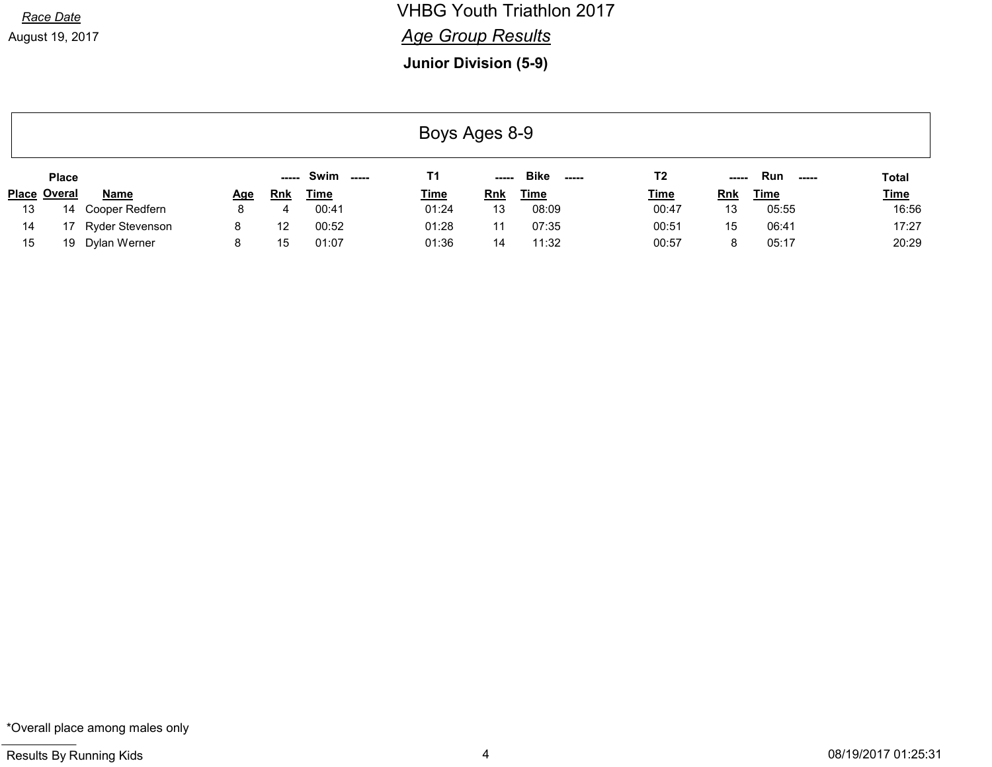# Race Date **Race Date Race Date Race Date Race Date Race Date Race Date Race Date Race Date Race Date Race Date Race Date Race Date Race Date Race Date Race Date Race Date Race Date Race Da**

#### **Age Group Results**

Junior Division (5-9)

| Boys Ages 8-9 |                     |                    |            |            |                      |                |             |                              |             |            |                           |             |
|---------------|---------------------|--------------------|------------|------------|----------------------|----------------|-------------|------------------------------|-------------|------------|---------------------------|-------------|
|               | <b>Place</b>        |                    |            | -----      | <b>Swim</b><br>$---$ | T <sub>1</sub> | $- - - - -$ | <b>Bike</b><br>$\frac{1}{2}$ | T2          | -----      | <b>Run</b><br>$- - - - -$ | Total       |
|               | <b>Place Overal</b> | <b>Name</b>        | <u>Age</u> | <b>Rnk</b> | Time                 | <u>Time</u>    | <b>Rnk</b>  | <u>Time</u>                  | <u>Time</u> | <b>Rnk</b> | <u>Time</u>               | <b>Time</b> |
| 13            |                     | 14 Cooper Redfern  | 8          | 4          | 00:41                | 01:24          | 13          | 08:09                        | 00:47       | 13         | 05:55                     | 16:56       |
| 14            |                     | 17 Ryder Stevenson | 8          | 12         | 00:52                | 01:28          | 11          | 07:35                        | 00:51       | 15         | 06:41                     | 17:27       |
| 15            |                     | 19 Dylan Werner    | 8          | 15         | 01:07                | 01:36          | 14          | 11:32                        | 00:57       |            | 05:17                     | 20:29       |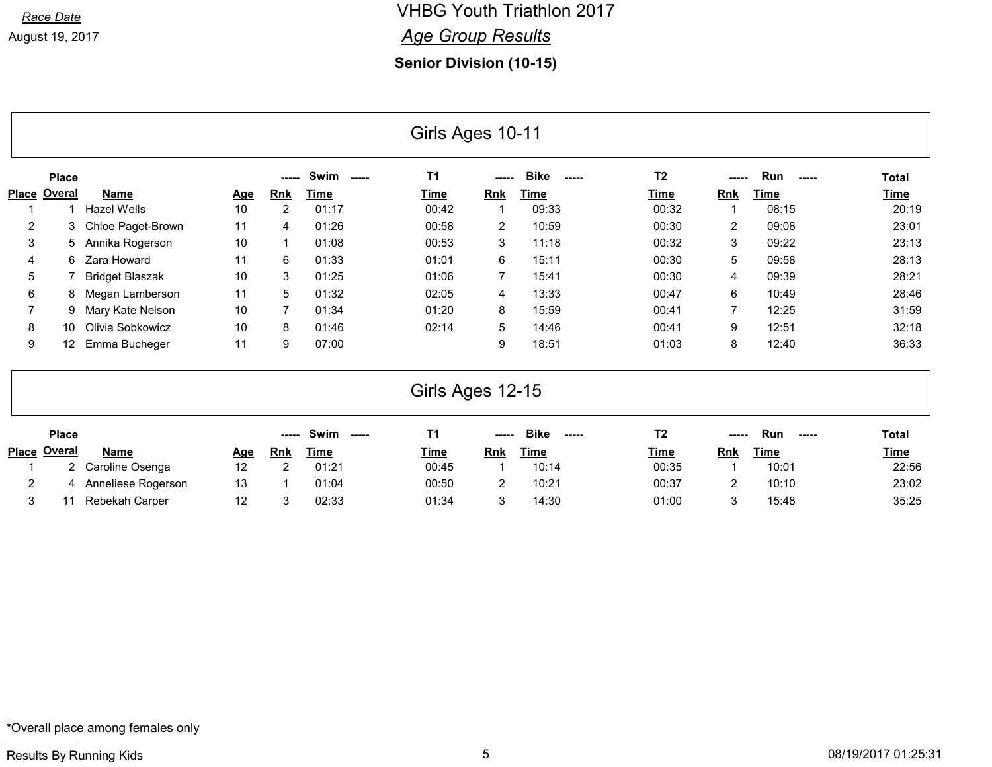Race Date **Race Date Race Date Race Date Race Date Race Date Race Date Race Date Race Date Race Date Race Date Race Date Race Date Race Date Race Date Race Date Race Date Race Date Race Da Age Group Results** 

Senior Division (10-15)

|                |                     |                        |            |                |                              | Girls Ages 10-11 |                |                      |                |                         |              |              |
|----------------|---------------------|------------------------|------------|----------------|------------------------------|------------------|----------------|----------------------|----------------|-------------------------|--------------|--------------|
|                | <b>Place</b>        |                        |            | -----          | <b>Swim</b><br>$\frac{1}{2}$ | <b>T1</b>        |                | <b>Bike</b><br>----- | T <sub>2</sub> |                         | Run<br>----- | <b>Total</b> |
|                | <b>Place Overal</b> | <b>Name</b>            | <u>Age</u> | <b>Rnk</b>     | <b>Time</b>                  | Time             | <b>Rnk</b>     | <b>Time</b>          | <b>Time</b>    | <b>Rnk</b>              | <b>Time</b>  | <b>Time</b>  |
|                |                     | <b>Hazel Wells</b>     | 10         | $\overline{2}$ | 01:17                        | 00:42            | 1              | 09:33                | 00:32          | $\mathbf{1}$            | 08:15        | 20:19        |
| 2              | 3                   | Chloe Paget-Brown      | 11         | 4              | 01:26                        | 00:58            | $\overline{2}$ | 10:59                | 00:30          | $\overline{2}$          | 09:08        | 23:01        |
| 3              | 5                   | Annika Rogerson        | 10         |                | 01:08                        | 00:53            | 3              | 11:18                | 00:32          | 3                       | 09:22        | 23:13        |
| 4              | 6                   | Zara Howard            | 11         | 6              | 01:33                        | 01:01            | 6              | 15:11                | 00:30          | 5                       | 09:58        | 28:13        |
| 5              |                     | <b>Bridget Blaszak</b> | 10         | 3              | 01:25                        | 01:06            | $\overline{7}$ | 15:41                | 00:30          | 4                       | 09:39        | 28:21        |
| 6              | 8                   | Megan Lamberson        | 11         | 5              | 01:32                        | 02:05            | 4              | 13:33                | 00:47          | 6                       | 10:49        | 28:46        |
| 7              | 9                   | Mary Kate Nelson       | 10         | 7              | 01:34                        | 01:20            | 8              | 15:59                | 00:41          | 7                       | 12:25        | 31:59        |
| 8              | 10                  | Olivia Sobkowicz       | 10         | 8              | 01:46                        | 02:14            | 5              | 14:46                | 00:41          | 9                       | 12:51        | 32:18        |
| 9              | 12                  | Emma Bucheger          | 11         | 9              | 07:00                        |                  | 9              | 18:51                | 01:03          | 8                       | 12:40        | 36:33        |
|                |                     |                        |            |                |                              | Girls Ages 12-15 |                |                      |                |                         |              |              |
|                | <b>Place</b>        |                        |            | -----          | Swim<br>$\frac{1}{2}$        | <b>T1</b>        |                | <b>Bike</b><br>----- | T <sub>2</sub> |                         | Run<br>----- | <b>Total</b> |
|                | Place Overal        | Name                   | <u>Age</u> | <b>Rnk</b>     | <b>Time</b>                  | Time             | Rnk            | <b>Time</b>          | Time           | Rnk                     | <b>Time</b>  | <b>Time</b>  |
|                | $\overline{2}$      | Caroline Osenga        | 12         | 2              | 01:21                        | 00:45            | 1              | 10:14                | 00:35          | $\overline{\mathbf{1}}$ | 10:01        | 22:56        |
| $\overline{c}$ | 4                   | Anneliese Rogerson     | 13         | $\mathbf 1$    | 01:04                        | 00:50            | 2              | 10:21                | 00:37          | $\overline{2}$          | 10:10        | 23:02        |
| 3              | 11                  | Rebekah Carper         | 12         | 3              | 02:33                        | 01:34            | 3              | 14:30                | 01:00          | 3                       | 15:48        | 35:25        |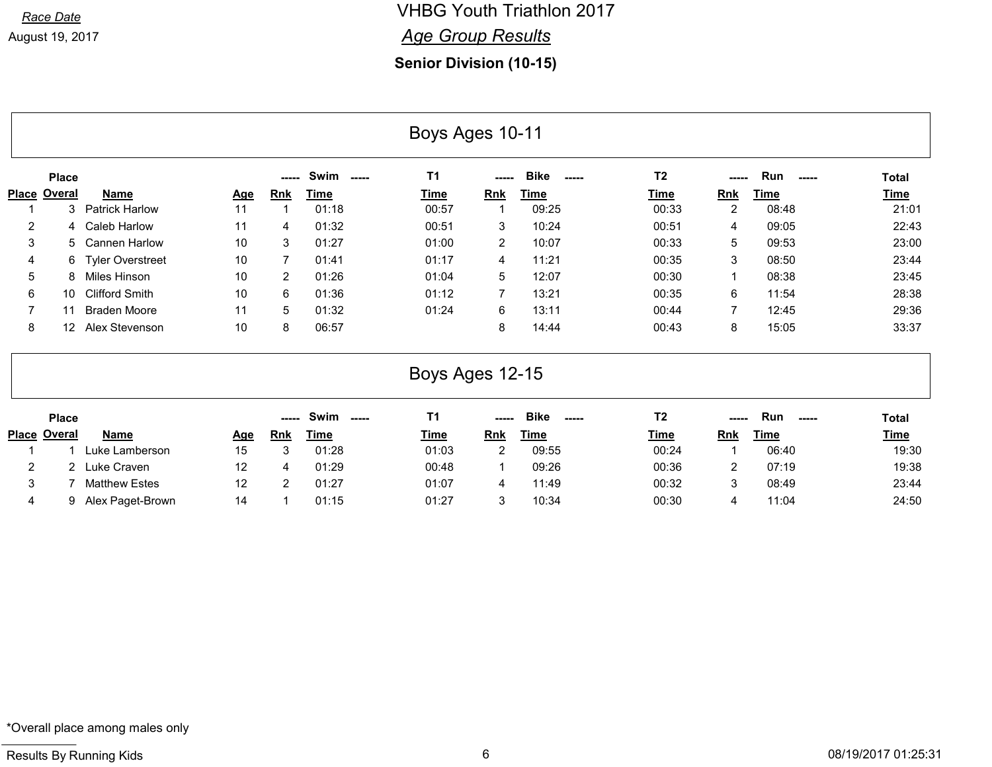#### Race Date **Race Date Race Date Race Date Race Date Race Date Race Date Race Date Race Date Race Date Race Date Race Date Race Date Race Date Race Date Race Date Race Date Race Date Race Da Age Group Results**

#### Senior Division (10-15)

|                     | Boys Ages 10-11     |                         |            |                |                |                 |                |                            |                |                |              |              |  |
|---------------------|---------------------|-------------------------|------------|----------------|----------------|-----------------|----------------|----------------------------|----------------|----------------|--------------|--------------|--|
|                     | <b>Place</b>        |                         |            | -----          | Swim<br>$---$  | T <sub>1</sub>  |                | <b>Bike</b><br>-----       | T <sub>2</sub> | ---            | Run<br>----- | <b>Total</b> |  |
| <b>Place Overal</b> |                     | <b>Name</b>             | <u>Age</u> | <u>Rnk</u>     | <u>Time</u>    | <b>Time</b>     | <b>Rnk</b>     | <b>Time</b>                | <u>Time</u>    | <b>Rnk</b>     | <u>Time</u>  | <b>Time</b>  |  |
|                     | 3                   | <b>Patrick Harlow</b>   | 11         | $\overline{1}$ | 01:18          | 00:57           |                | 09:25                      | 00:33          | $\overline{2}$ | 08:48        | 21:01        |  |
| $\overline{2}$      | 4                   | <b>Caleb Harlow</b>     | 11         | 4              | 01:32          | 00:51           | 3              | 10:24                      | 00:51          | 4              | 09:05        | 22:43        |  |
| 3                   | 5                   | <b>Cannen Harlow</b>    | 10         | 3              | 01:27          | 01:00           | $\overline{2}$ | 10:07                      | 00:33          | 5              | 09:53        | 23:00        |  |
| 4                   | 6                   | <b>Tyler Overstreet</b> | 10         | $\overline{7}$ | 01:41          | 01:17           | 4              | 11:21                      | 00:35          | 3              | 08:50        | 23:44        |  |
| 5                   | 8                   | Miles Hinson            | 10         | $\overline{2}$ | 01:26          | 01:04           | 5              | 12:07                      | 00:30          | $\mathbf 1$    | 08:38        | 23:45        |  |
| 6                   | 10                  | <b>Clifford Smith</b>   | 10         | 6              | 01:36          | 01:12           | $\overline{7}$ | 13:21                      | 00:35          | 6              | 11:54        | 28:38        |  |
| $\overline{7}$      | 11                  | <b>Braden Moore</b>     | 11         | 5              | 01:32          | 01:24           | 6              | 13:11                      | 00:44          | $\overline{7}$ | 12:45        | 29:36        |  |
| 8                   | 12 <sup>2</sup>     | Alex Stevenson          | 10         | 8              | 06:57          |                 | 8              | 14:44                      | 00:43          | 8              | 15:05        | 33:37        |  |
|                     |                     |                         |            |                |                | Boys Ages 12-15 |                |                            |                |                |              |              |  |
|                     | <b>Place</b>        |                         |            | -----          | Swim<br>------ | <b>T1</b>       |                | <b>Bike</b><br>$- - - - -$ | T <sub>2</sub> | -----          | Run<br>----- | <b>Total</b> |  |
|                     | <b>Place Overal</b> | <b>Name</b>             | <u>Age</u> | Rnk            | <b>Time</b>    | Time            | <b>Rnk</b>     | <b>Time</b>                | <u>Time</u>    | <b>Rnk</b>     | <b>Time</b>  | <b>Time</b>  |  |
|                     |                     | Luke Lamberson          | 15         | 3              | 01:28          | 01:03           | $\overline{2}$ | 09:55                      | 00:24          | $\mathbf{1}$   | 06:40        | 19:30        |  |
| $\overline{2}$      | 2                   | Luke Craven             | 12         | 4              | 01:29          | 00:48           | 1              | 09:26                      | 00:36          | 2              | 07:19        | 19:38        |  |
| 3                   |                     | <b>Matthew Estes</b>    | 12         | $\overline{2}$ | 01:27          | 01:07           | 4              | 11:49                      | 00:32          | 3              | 08:49        | 23:44        |  |
| 4                   | 9                   | Alex Paget-Brown        | 14         | 1              | 01:15          | 01:27           | 3              | 10:34                      | 00:30          | 4              | 11:04        | 24:50        |  |